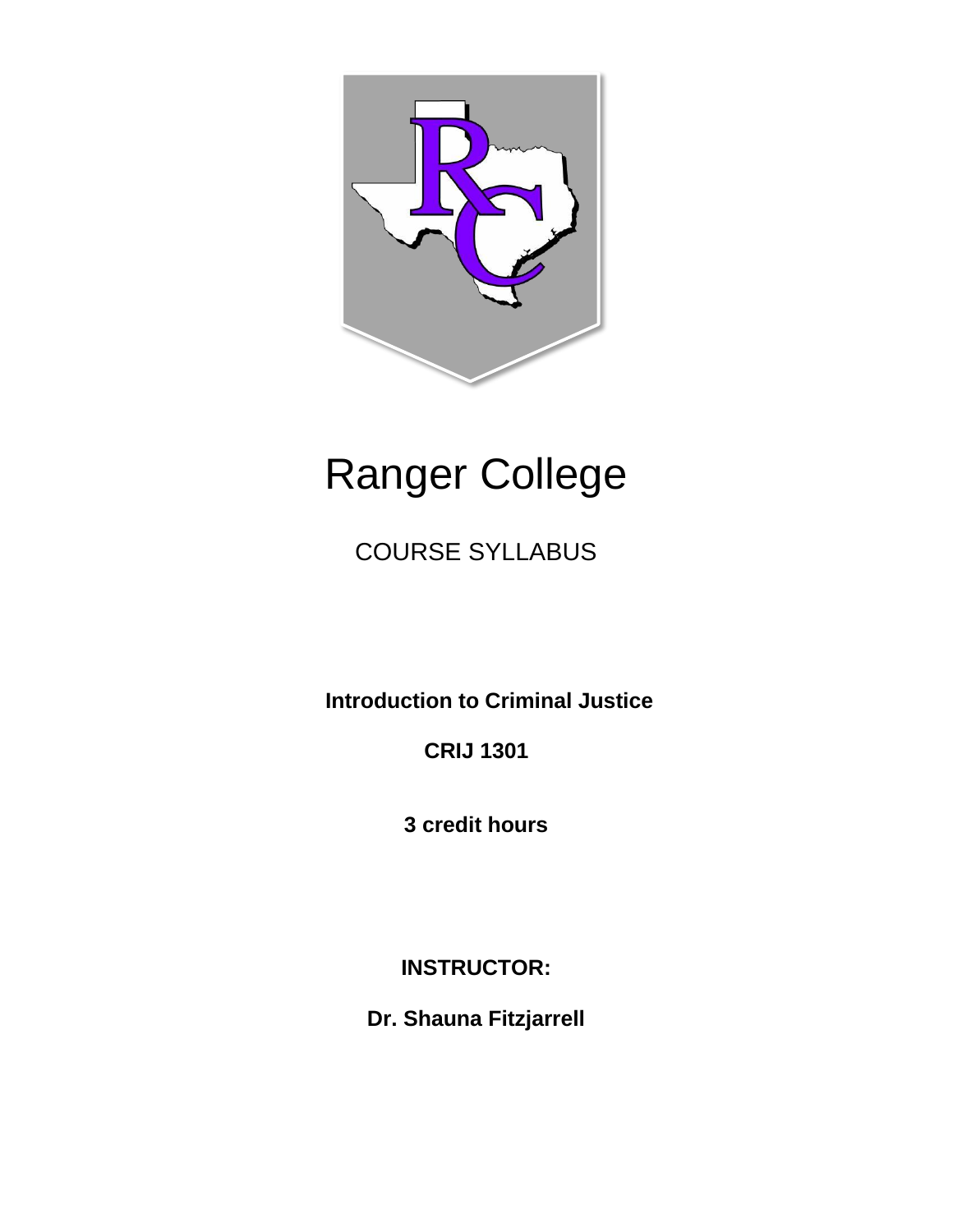

# Ranger College

COURSE SYLLABUS

**Introduction to Criminal Justice** 

**CRIJ 1301** 

**3 credit hours** 

**INSTRUCTOR:** 

**Dr. Shauna Fitzjarrell**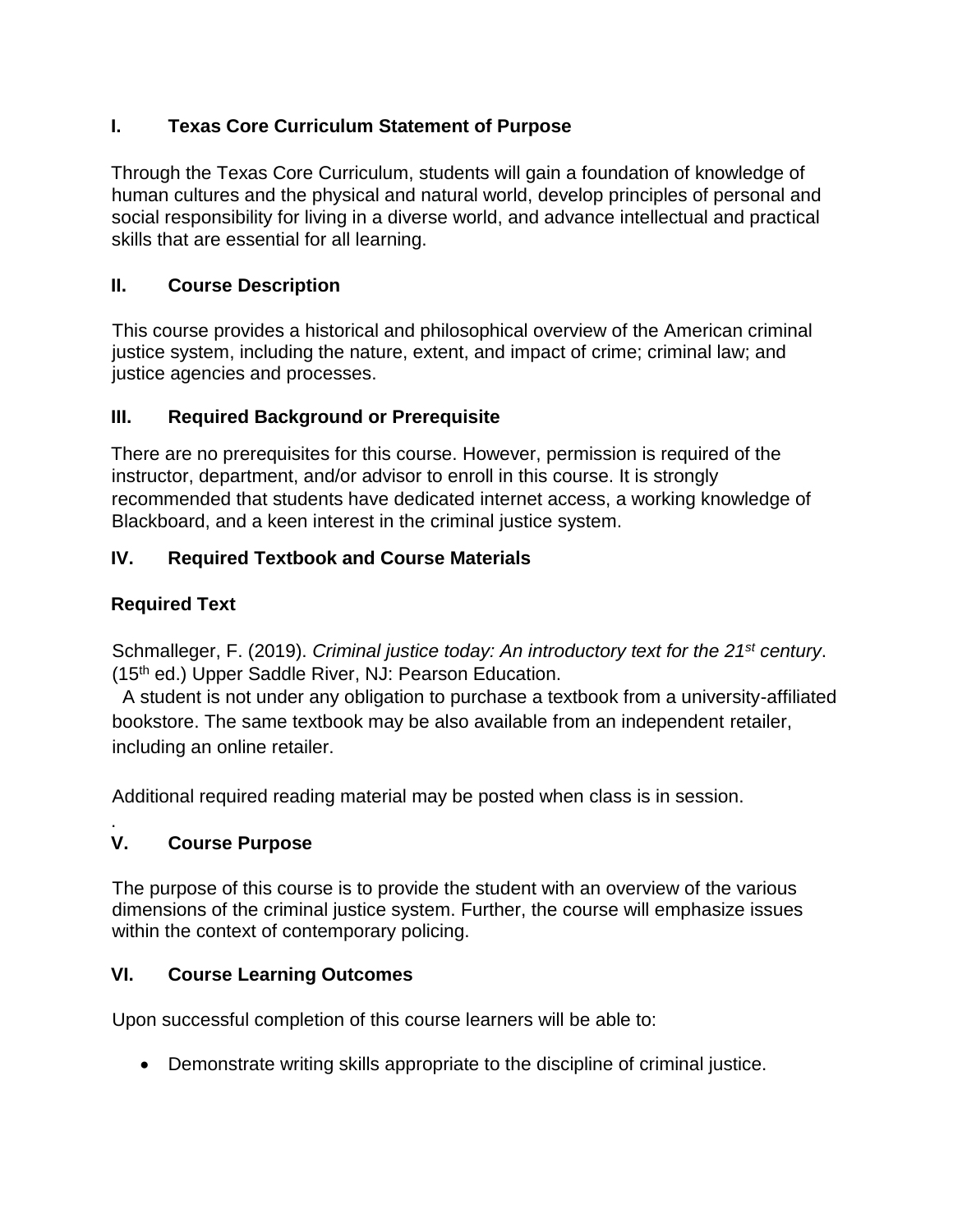# **I. Texas Core Curriculum Statement of Purpose**

Through the Texas Core Curriculum, students will gain a foundation of knowledge of human cultures and the physical and natural world, develop principles of personal and social responsibility for living in a diverse world, and advance intellectual and practical skills that are essential for all learning.

# **II. Course Description**

This course provides a historical and philosophical overview of the American criminal justice system, including the nature, extent, and impact of crime; criminal law; and justice agencies and processes.

# **III. Required Background or Prerequisite**

There are no prerequisites for this course. However, permission is required of the instructor, department, and/or advisor to enroll in this course. It is strongly recommended that students have dedicated internet access, a working knowledge of Blackboard, and a keen interest in the criminal justice system.

# **IV. Required Textbook and Course Materials**

## **Required Text**

Schmalleger, F. (2019). *Criminal justice today: An introductory text for the 21st century*. (15th ed.) Upper Saddle River, NJ: Pearson Education.

 A student is not under any obligation to purchase a textbook from a university-affiliated bookstore. The same textbook may be also available from an independent retailer, including an online retailer.

Additional required reading material may be posted when class is in session.

#### . **V. Course Purpose**

The purpose of this course is to provide the student with an overview of the various dimensions of the criminal justice system. Further, the course will emphasize issues within the context of contemporary policing.

## **VI. Course Learning Outcomes**

Upon successful completion of this course learners will be able to:

Demonstrate writing skills appropriate to the discipline of criminal justice.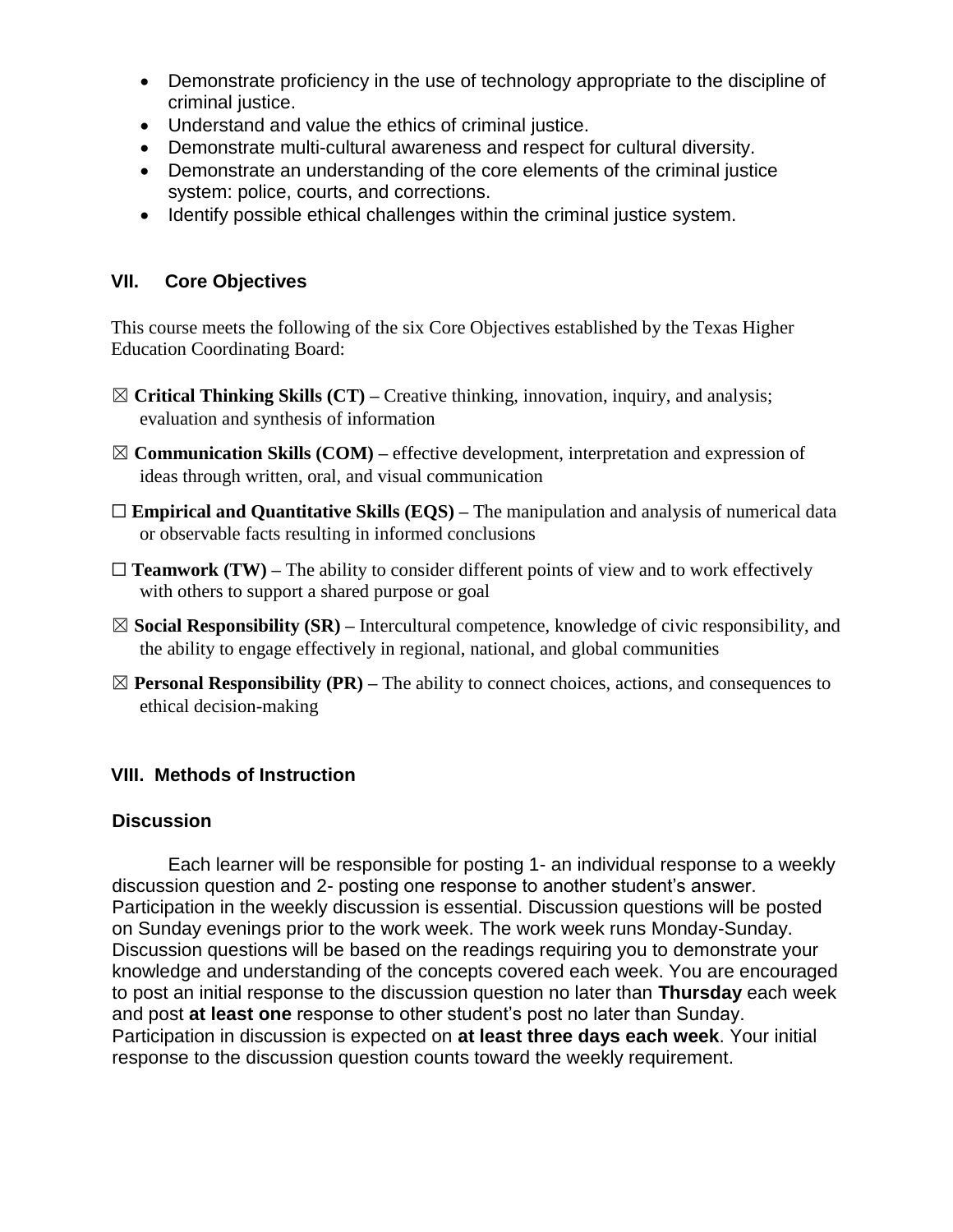- Demonstrate proficiency in the use of technology appropriate to the discipline of criminal justice.
- Understand and value the ethics of criminal justice.
- Demonstrate multi-cultural awareness and respect for cultural diversity.
- Demonstrate an understanding of the core elements of the criminal justice system: police, courts, and corrections.
- Identify possible ethical challenges within the criminal justice system.

#### **VII. Core Objectives**

This course meets the following of the six Core Objectives established by the Texas Higher Education Coordinating Board:

- ☒ **Critical Thinking Skills (CT) –** Creative thinking, innovation, inquiry, and analysis; evaluation and synthesis of information
- ☒ **Communication Skills (COM) –** effective development, interpretation and expression of ideas through written, oral, and visual communication
- □ **Empirical and Quantitative Skills (EQS)** The manipulation and analysis of numerical data or observable facts resulting in informed conclusions
- $\Box$  **Teamwork (TW)** The ability to consider different points of view and to work effectively with others to support a shared purpose or goal
- ☒ **Social Responsibility (SR) –** Intercultural competence, knowledge of civic responsibility, and the ability to engage effectively in regional, national, and global communities
- $\boxtimes$  **Personal Responsibility (PR)** The ability to connect choices, actions, and consequences to ethical decision-making

## **VIII. Methods of Instruction**

#### **Discussion**

Each learner will be responsible for posting 1- an individual response to a weekly discussion question and 2- posting one response to another student's answer. Participation in the weekly discussion is essential. Discussion questions will be posted on Sunday evenings prior to the work week. The work week runs Monday-Sunday. Discussion questions will be based on the readings requiring you to demonstrate your knowledge and understanding of the concepts covered each week. You are encouraged to post an initial response to the discussion question no later than **Thursday** each week and post **at least one** response to other student's post no later than Sunday. Participation in discussion is expected on **at least three days each week**. Your initial response to the discussion question counts toward the weekly requirement.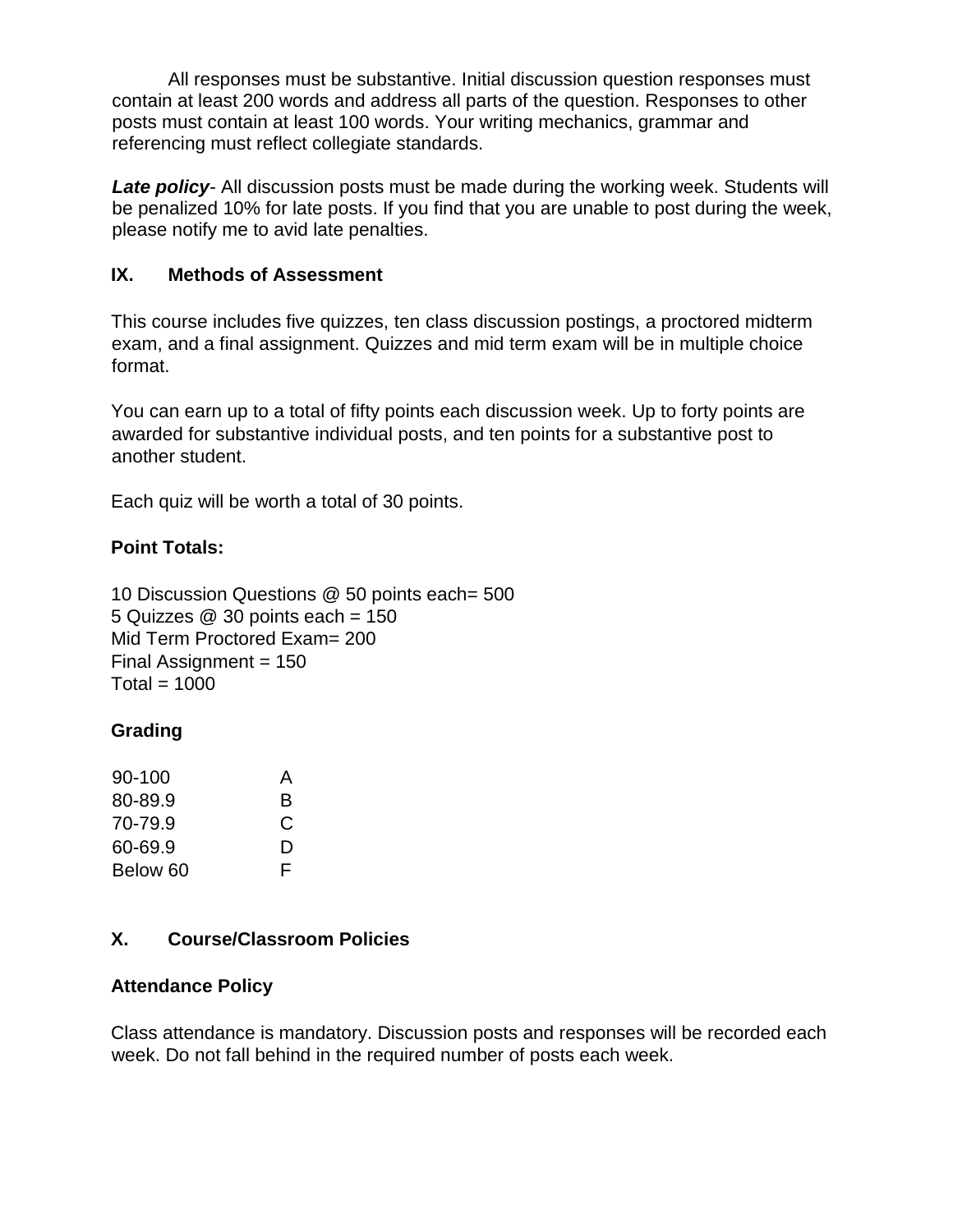All responses must be substantive. Initial discussion question responses must contain at least 200 words and address all parts of the question. Responses to other posts must contain at least 100 words. Your writing mechanics, grammar and referencing must reflect collegiate standards.

**Late policy**- All discussion posts must be made during the working week. Students will be penalized 10% for late posts. If you find that you are unable to post during the week, please notify me to avid late penalties.

#### **IX. Methods of Assessment**

This course includes five quizzes, ten class discussion postings, a proctored midterm exam, and a final assignment. Quizzes and mid term exam will be in multiple choice format.

You can earn up to a total of fifty points each discussion week. Up to forty points are awarded for substantive individual posts, and ten points for a substantive post to another student.

Each quiz will be worth a total of 30 points.

## **Point Totals:**

10 Discussion Questions @ 50 points each= 500 5 Quizzes  $@30$  points each = 150 Mid Term Proctored Exam= 200 Final Assignment  $= 150$  $Total = 1000$ 

## **Grading**

| $90 - 100$ | A |
|------------|---|
| 80-89.9    | R |
| 70-79.9    | C |
| 60-69.9    | D |
| Below 60   | F |

## **X. Course/Classroom Policies**

#### **Attendance Policy**

Class attendance is mandatory. Discussion posts and responses will be recorded each week. Do not fall behind in the required number of posts each week.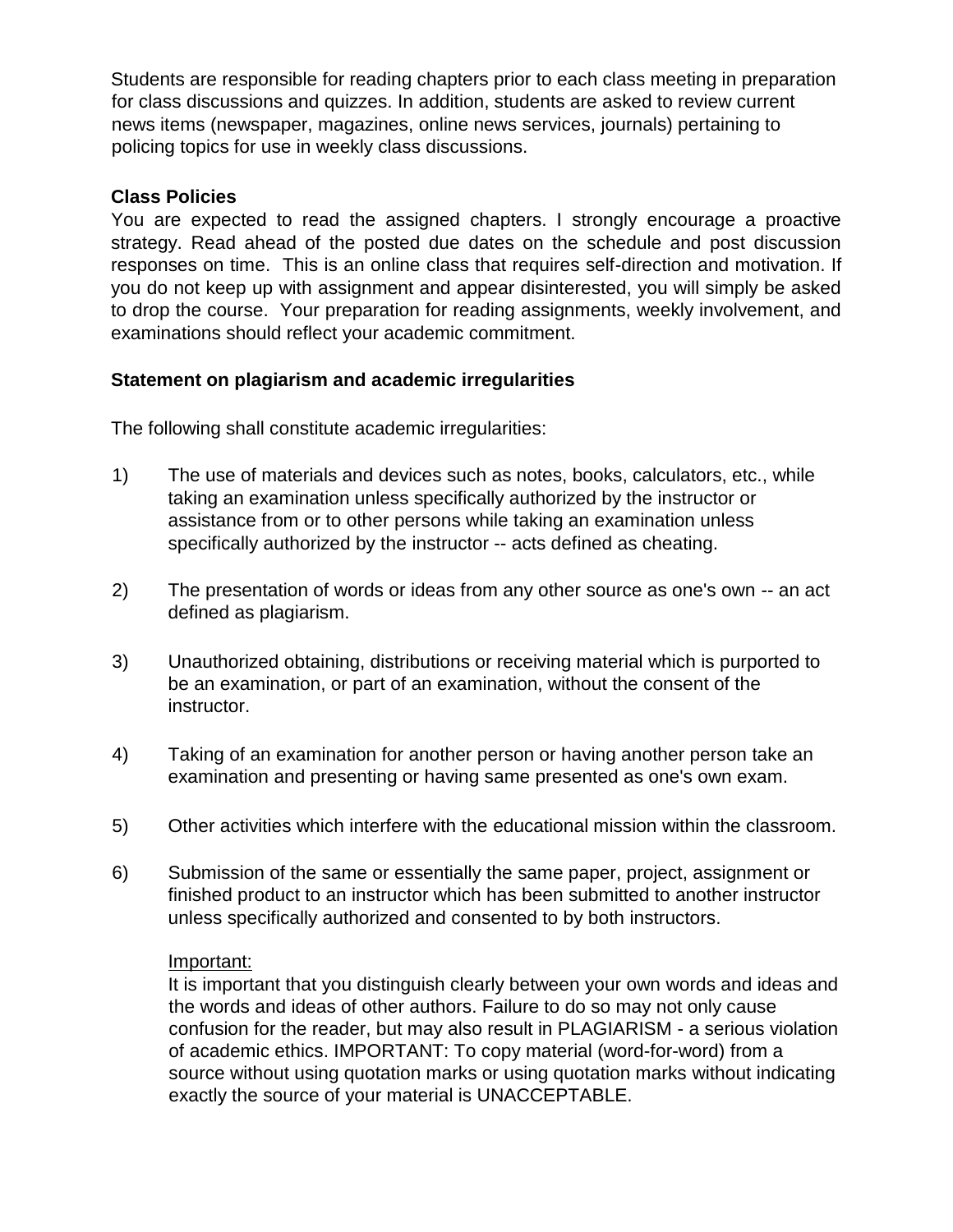Students are responsible for reading chapters prior to each class meeting in preparation for class discussions and quizzes. In addition, students are asked to review current news items (newspaper, magazines, online news services, journals) pertaining to policing topics for use in weekly class discussions.

#### **Class Policies**

You are expected to read the assigned chapters. I strongly encourage a proactive strategy. Read ahead of the posted due dates on the schedule and post discussion responses on time. This is an online class that requires self-direction and motivation. If you do not keep up with assignment and appear disinterested, you will simply be asked to drop the course. Your preparation for reading assignments, weekly involvement, and examinations should reflect your academic commitment.

#### **Statement on plagiarism and academic irregularities**

The following shall constitute academic irregularities:

- 1) The use of materials and devices such as notes, books, calculators, etc., while taking an examination unless specifically authorized by the instructor or assistance from or to other persons while taking an examination unless specifically authorized by the instructor -- acts defined as cheating.
- 2) The presentation of words or ideas from any other source as one's own -- an act defined as plagiarism.
- 3) Unauthorized obtaining, distributions or receiving material which is purported to be an examination, or part of an examination, without the consent of the instructor.
- 4) Taking of an examination for another person or having another person take an examination and presenting or having same presented as one's own exam.
- 5) Other activities which interfere with the educational mission within the classroom.
- 6) Submission of the same or essentially the same paper, project, assignment or finished product to an instructor which has been submitted to another instructor unless specifically authorized and consented to by both instructors.

#### Important:

It is important that you distinguish clearly between your own words and ideas and the words and ideas of other authors. Failure to do so may not only cause confusion for the reader, but may also result in PLAGIARISM - a serious violation of academic ethics. IMPORTANT: To copy material (word-for-word) from a source without using quotation marks or using quotation marks without indicating exactly the source of your material is UNACCEPTABLE.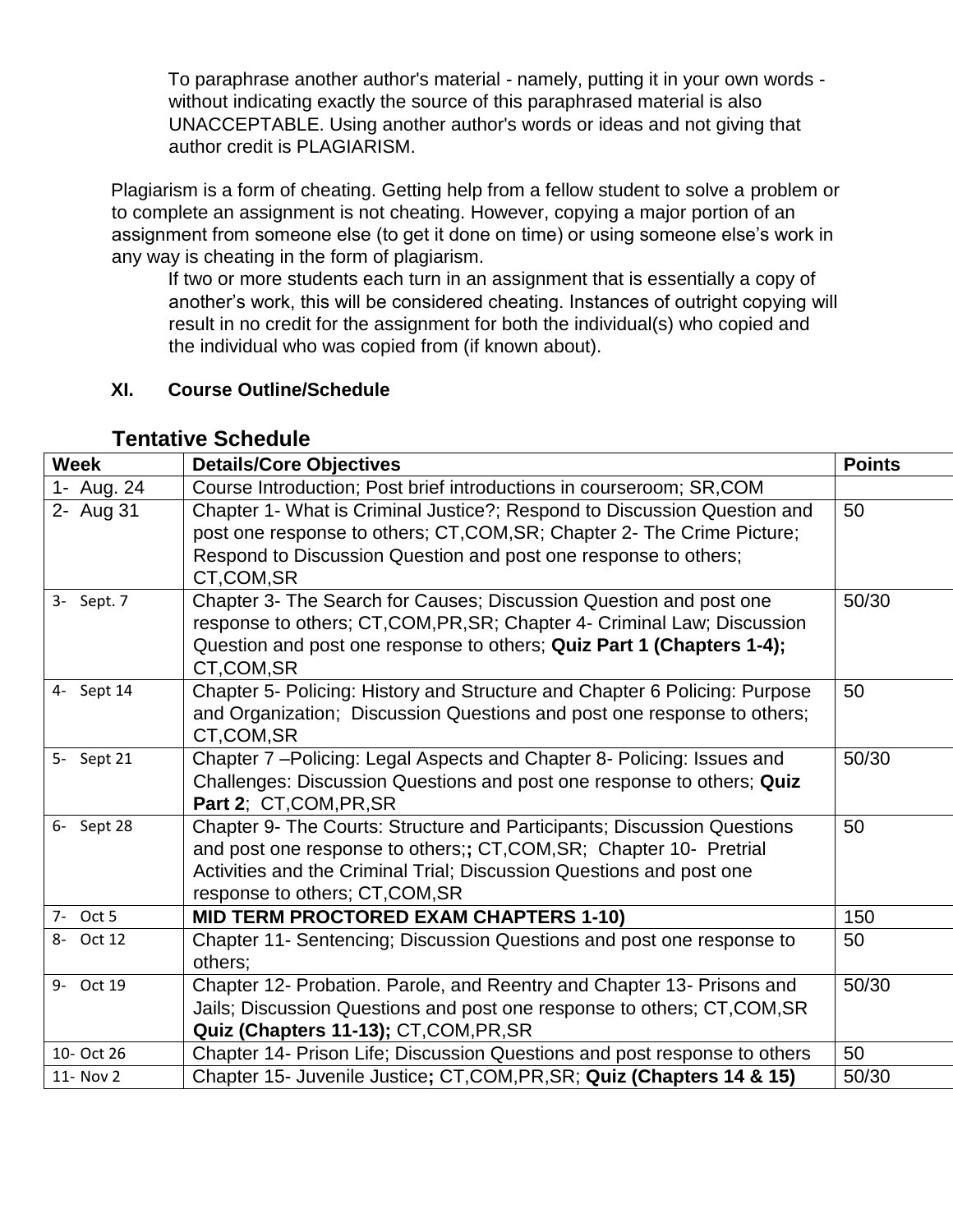To paraphrase another author's material - namely, putting it in your own words without indicating exactly the source of this paraphrased material is also UNACCEPTABLE. Using another author's words or ideas and not giving that author credit is PLAGIARISM.

Plagiarism is a form of cheating. Getting help from a fellow student to solve a problem or to complete an assignment is not cheating. However, copying a major portion of an assignment from someone else (to get it done on time) or using someone else's work in any way is cheating in the form of plagiarism.

If two or more students each turn in an assignment that is essentially a copy of another's work, this will be considered cheating. Instances of outright copying will result in no credit for the assignment for both the individual(s) who copied and the individual who was copied from (if known about).

## **XI. Course Outline/Schedule**

| <b>Week</b> | <b>Details/Core Objectives</b>                                                                                                                                                                                                                            | <b>Points</b> |
|-------------|-----------------------------------------------------------------------------------------------------------------------------------------------------------------------------------------------------------------------------------------------------------|---------------|
| 1- Aug. 24  | Course Introduction; Post brief introductions in courseroom; SR, COM                                                                                                                                                                                      |               |
| 2- Aug 31   | Chapter 1- What is Criminal Justice?; Respond to Discussion Question and<br>post one response to others; CT, COM, SR; Chapter 2- The Crime Picture;<br>Respond to Discussion Question and post one response to others;<br>CT,COM,SR                       | 50            |
| 3- Sept. 7  | Chapter 3- The Search for Causes; Discussion Question and post one<br>response to others; CT, COM, PR, SR; Chapter 4- Criminal Law; Discussion<br>Question and post one response to others; Quiz Part 1 (Chapters 1-4);<br>CT,COM,SR                      | 50/30         |
| 4- Sept 14  | Chapter 5- Policing: History and Structure and Chapter 6 Policing: Purpose<br>and Organization; Discussion Questions and post one response to others;<br>CT,COM,SR                                                                                        | 50            |
| 5- Sept 21  | Chapter 7-Policing: Legal Aspects and Chapter 8- Policing: Issues and<br>Challenges: Discussion Questions and post one response to others; Quiz<br>Part 2; CT, COM, PR, SR                                                                                | 50/30         |
| 6- Sept 28  | Chapter 9- The Courts: Structure and Participants; Discussion Questions<br>and post one response to others;; CT, COM, SR; Chapter 10- Pretrial<br>Activities and the Criminal Trial; Discussion Questions and post one<br>response to others; CT, COM, SR | 50            |
| 7- Oct 5    | MID TERM PROCTORED EXAM CHAPTERS 1-10)                                                                                                                                                                                                                    | 150           |
| 8- Oct 12   | Chapter 11- Sentencing; Discussion Questions and post one response to<br>others;                                                                                                                                                                          | 50            |
| 9- Oct 19   | Chapter 12- Probation. Parole, and Reentry and Chapter 13- Prisons and<br>Jails; Discussion Questions and post one response to others; CT, COM, SR<br>Quiz (Chapters 11-13); CT, COM, PR, SR                                                              | 50/30         |
| 10- Oct 26  | Chapter 14- Prison Life; Discussion Questions and post response to others                                                                                                                                                                                 | 50            |
| 11- Nov 2   | Chapter 15- Juvenile Justice; CT, COM, PR, SR; Quiz (Chapters 14 & 15)                                                                                                                                                                                    | 50/30         |

## **Tentative Schedule**